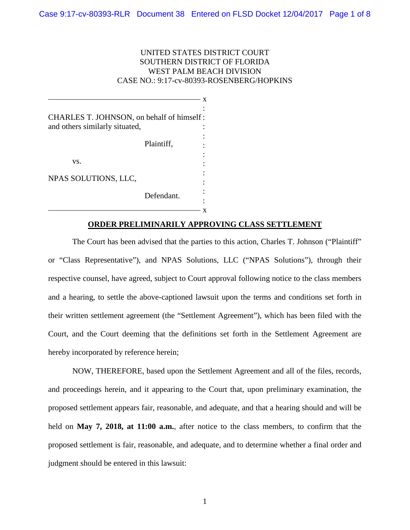## UNITED STATES DISTRICT COURT SOUTHERN DISTRICT OF FLORIDA WEST PALM BEACH DIVISION CASE NO.: 9:17-cv-80393-ROSENBERG/HOPKINS

| CHARLES T. JOHNSON, on behalf of himself: |                                                        |
|-------------------------------------------|--------------------------------------------------------|
|                                           |                                                        |
| Plaintiff,                                |                                                        |
|                                           |                                                        |
|                                           |                                                        |
| Defendant.                                |                                                        |
|                                           | and others similarly situated,<br>NPAS SOLUTIONS, LLC, |

## **ORDER PRELIMINARILY APPROVING CLASS SETTLEMENT**

The Court has been advised that the parties to this action, Charles T. Johnson ("Plaintiff" or "Class Representative"), and NPAS Solutions, LLC ("NPAS Solutions"), through their respective counsel, have agreed, subject to Court approval following notice to the class members and a hearing, to settle the above-captioned lawsuit upon the terms and conditions set forth in their written settlement agreement (the "Settlement Agreement"), which has been filed with the Court, and the Court deeming that the definitions set forth in the Settlement Agreement are hereby incorporated by reference herein;

NOW, THEREFORE, based upon the Settlement Agreement and all of the files, records, and proceedings herein, and it appearing to the Court that, upon preliminary examination, the proposed settlement appears fair, reasonable, and adequate, and that a hearing should and will be held on **May 7, 2018, at 11:00 a.m.**, after notice to the class members, to confirm that the proposed settlement is fair, reasonable, and adequate, and to determine whether a final order and judgment should be entered in this lawsuit: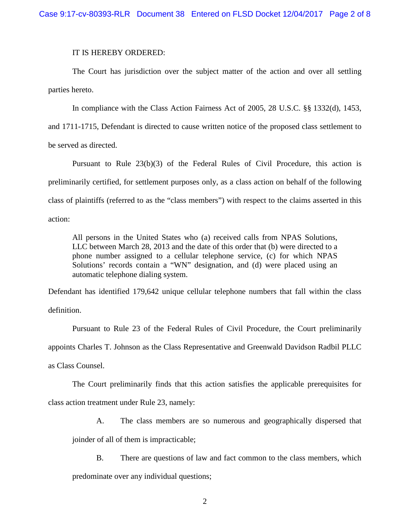## IT IS HEREBY ORDERED:

The Court has jurisdiction over the subject matter of the action and over all settling parties hereto.

In compliance with the Class Action Fairness Act of 2005, 28 U.S.C. §§ 1332(d), 1453, and 1711-1715, Defendant is directed to cause written notice of the proposed class settlement to be served as directed.

Pursuant to Rule 23(b)(3) of the Federal Rules of Civil Procedure, this action is preliminarily certified, for settlement purposes only, as a class action on behalf of the following class of plaintiffs (referred to as the "class members") with respect to the claims asserted in this action:

All persons in the United States who (a) received calls from NPAS Solutions, LLC between March 28, 2013 and the date of this order that (b) were directed to a phone number assigned to a cellular telephone service, (c) for which NPAS Solutions' records contain a "WN" designation, and (d) were placed using an automatic telephone dialing system.

Defendant has identified 179,642 unique cellular telephone numbers that fall within the class definition.

Pursuant to Rule 23 of the Federal Rules of Civil Procedure, the Court preliminarily appoints Charles T. Johnson as the Class Representative and Greenwald Davidson Radbil PLLC as Class Counsel.

The Court preliminarily finds that this action satisfies the applicable prerequisites for class action treatment under Rule 23, namely:

A. The class members are so numerous and geographically dispersed that

joinder of all of them is impracticable;

B. There are questions of law and fact common to the class members, which predominate over any individual questions;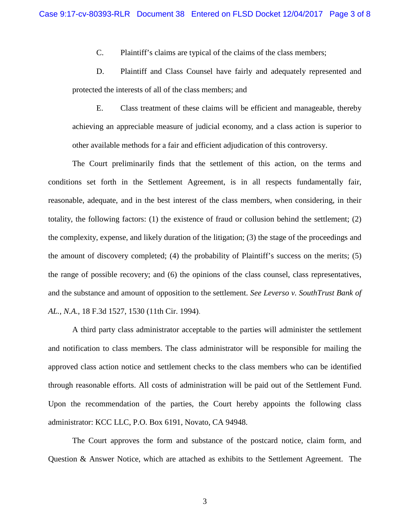C. Plaintiff's claims are typical of the claims of the class members;

D. Plaintiff and Class Counsel have fairly and adequately represented and protected the interests of all of the class members; and

E. Class treatment of these claims will be efficient and manageable, thereby achieving an appreciable measure of judicial economy, and a class action is superior to other available methods for a fair and efficient adjudication of this controversy.

The Court preliminarily finds that the settlement of this action, on the terms and conditions set forth in the Settlement Agreement, is in all respects fundamentally fair, reasonable, adequate, and in the best interest of the class members, when considering, in their totality, the following factors: (1) the existence of fraud or collusion behind the settlement; (2) the complexity, expense, and likely duration of the litigation; (3) the stage of the proceedings and the amount of discovery completed; (4) the probability of Plaintiff's success on the merits; (5) the range of possible recovery; and (6) the opinions of the class counsel, class representatives, and the substance and amount of opposition to the settlement. *See Leverso v. SouthTrust Bank of AL., N.A.*, 18 F.3d 1527, 1530 (11th Cir. 1994).

A third party class administrator acceptable to the parties will administer the settlement and notification to class members. The class administrator will be responsible for mailing the approved class action notice and settlement checks to the class members who can be identified through reasonable efforts. All costs of administration will be paid out of the Settlement Fund. Upon the recommendation of the parties, the Court hereby appoints the following class administrator: KCC LLC, P.O. Box 6191, Novato, CA 94948.

The Court approves the form and substance of the postcard notice, claim form, and Question & Answer Notice, which are attached as exhibits to the Settlement Agreement. The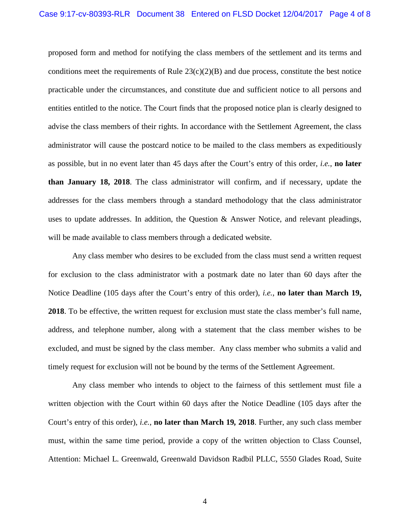proposed form and method for notifying the class members of the settlement and its terms and conditions meet the requirements of Rule  $23(c)(2)(B)$  and due process, constitute the best notice practicable under the circumstances, and constitute due and sufficient notice to all persons and entities entitled to the notice. The Court finds that the proposed notice plan is clearly designed to advise the class members of their rights. In accordance with the Settlement Agreement, the class administrator will cause the postcard notice to be mailed to the class members as expeditiously as possible, but in no event later than 45 days after the Court's entry of this order, *i.e.*, **no later than January 18, 2018**. The class administrator will confirm, and if necessary, update the addresses for the class members through a standard methodology that the class administrator uses to update addresses. In addition, the Question  $\&$  Answer Notice, and relevant pleadings, will be made available to class members through a dedicated website.

Any class member who desires to be excluded from the class must send a written request for exclusion to the class administrator with a postmark date no later than 60 days after the Notice Deadline (105 days after the Court's entry of this order), *i.e.*, **no later than March 19, 2018**. To be effective, the written request for exclusion must state the class member's full name, address, and telephone number, along with a statement that the class member wishes to be excluded, and must be signed by the class member. Any class member who submits a valid and timely request for exclusion will not be bound by the terms of the Settlement Agreement.

Any class member who intends to object to the fairness of this settlement must file a written objection with the Court within 60 days after the Notice Deadline (105 days after the Court's entry of this order), *i.e.*, **no later than March 19***,* **2018**. Further, any such class member must, within the same time period, provide a copy of the written objection to Class Counsel, Attention: Michael L. Greenwald, Greenwald Davidson Radbil PLLC, 5550 Glades Road, Suite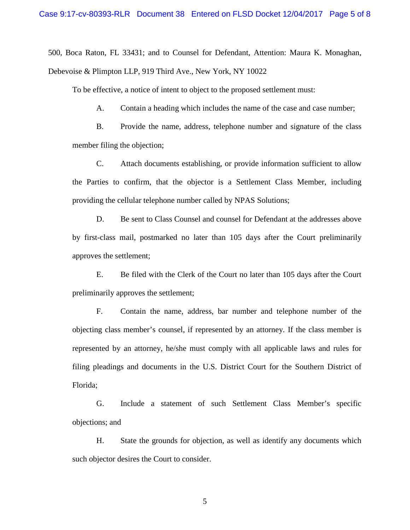500, Boca Raton, FL 33431; and to Counsel for Defendant, Attention: Maura K. Monaghan, Debevoise & Plimpton LLP, 919 Third Ave., New York, NY 10022

To be effective, a notice of intent to object to the proposed settlement must:

A. Contain a heading which includes the name of the case and case number;

B. Provide the name, address, telephone number and signature of the class member filing the objection;

C. Attach documents establishing, or provide information sufficient to allow the Parties to confirm, that the objector is a Settlement Class Member, including providing the cellular telephone number called by NPAS Solutions;

D. Be sent to Class Counsel and counsel for Defendant at the addresses above by first-class mail, postmarked no later than 105 days after the Court preliminarily approves the settlement;

E. Be filed with the Clerk of the Court no later than 105 days after the Court preliminarily approves the settlement;

F. Contain the name, address, bar number and telephone number of the objecting class member's counsel, if represented by an attorney. If the class member is represented by an attorney, he/she must comply with all applicable laws and rules for filing pleadings and documents in the U.S. District Court for the Southern District of Florida;

G. Include a statement of such Settlement Class Member's specific objections; and

H. State the grounds for objection, as well as identify any documents which such objector desires the Court to consider.

5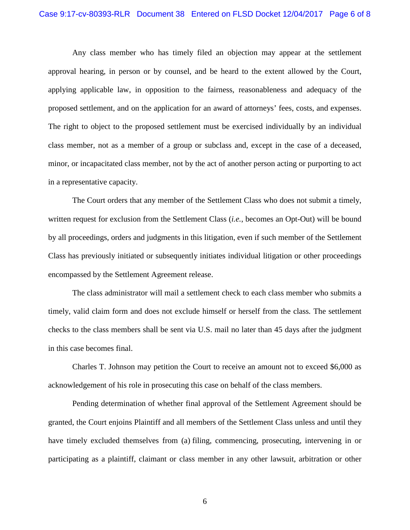## Case 9:17-cv-80393-RLR Document 38 Entered on FLSD Docket 12/04/2017 Page 6 of 8

Any class member who has timely filed an objection may appear at the settlement approval hearing, in person or by counsel, and be heard to the extent allowed by the Court, applying applicable law, in opposition to the fairness, reasonableness and adequacy of the proposed settlement, and on the application for an award of attorneys' fees, costs, and expenses. The right to object to the proposed settlement must be exercised individually by an individual class member, not as a member of a group or subclass and, except in the case of a deceased, minor, or incapacitated class member, not by the act of another person acting or purporting to act in a representative capacity.

The Court orders that any member of the Settlement Class who does not submit a timely, written request for exclusion from the Settlement Class (*i.e.*, becomes an Opt-Out) will be bound by all proceedings, orders and judgments in this litigation, even if such member of the Settlement Class has previously initiated or subsequently initiates individual litigation or other proceedings encompassed by the Settlement Agreement release.

The class administrator will mail a settlement check to each class member who submits a timely, valid claim form and does not exclude himself or herself from the class*.* The settlement checks to the class members shall be sent via U.S. mail no later than 45 days after the judgment in this case becomes final.

Charles T. Johnson may petition the Court to receive an amount not to exceed \$6,000 as acknowledgement of his role in prosecuting this case on behalf of the class members.

Pending determination of whether final approval of the Settlement Agreement should be granted, the Court enjoins Plaintiff and all members of the Settlement Class unless and until they have timely excluded themselves from (a) filing, commencing, prosecuting, intervening in or participating as a plaintiff, claimant or class member in any other lawsuit, arbitration or other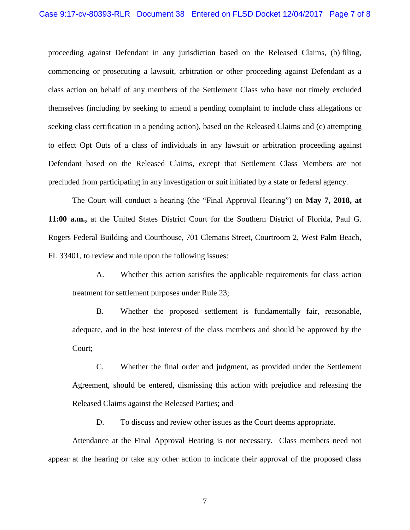proceeding against Defendant in any jurisdiction based on the Released Claims, (b) filing, commencing or prosecuting a lawsuit, arbitration or other proceeding against Defendant as a class action on behalf of any members of the Settlement Class who have not timely excluded themselves (including by seeking to amend a pending complaint to include class allegations or seeking class certification in a pending action), based on the Released Claims and (c) attempting to effect Opt Outs of a class of individuals in any lawsuit or arbitration proceeding against Defendant based on the Released Claims, except that Settlement Class Members are not precluded from participating in any investigation or suit initiated by a state or federal agency.

The Court will conduct a hearing (the "Final Approval Hearing") on **May 7, 2018, at 11:00 a.m.,** at the United States District Court for the Southern District of Florida, Paul G. Rogers Federal Building and Courthouse, 701 Clematis Street, Courtroom 2, West Palm Beach, FL 33401, to review and rule upon the following issues:

A. Whether this action satisfies the applicable requirements for class action treatment for settlement purposes under Rule 23;

B. Whether the proposed settlement is fundamentally fair, reasonable, adequate, and in the best interest of the class members and should be approved by the Court;

C. Whether the final order and judgment, as provided under the Settlement Agreement, should be entered, dismissing this action with prejudice and releasing the Released Claims against the Released Parties; and

D. To discuss and review other issues as the Court deems appropriate.

Attendance at the Final Approval Hearing is not necessary. Class members need not appear at the hearing or take any other action to indicate their approval of the proposed class

7